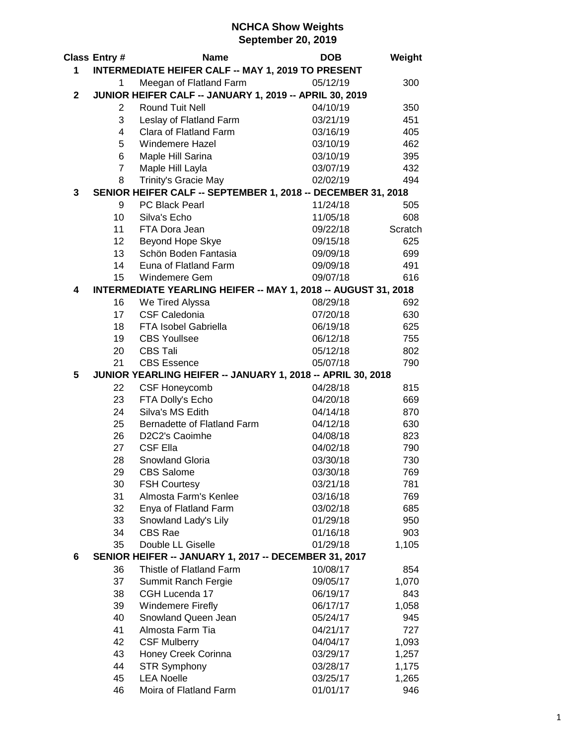## **NCHCA Show Weights September 20, 2019**

|                                                                  | <b>Class Entry#</b>                                            | <b>Name</b>                                                  | <b>DOB</b>           | Weight       |  |
|------------------------------------------------------------------|----------------------------------------------------------------|--------------------------------------------------------------|----------------------|--------------|--|
| 1.                                                               |                                                                | <b>INTERMEDIATE HEIFER CALF -- MAY 1, 2019 TO PRESENT</b>    |                      |              |  |
|                                                                  | 1                                                              | Meegan of Flatland Farm                                      | 05/12/19             | 300          |  |
| $\mathbf{2}$                                                     |                                                                | JUNIOR HEIFER CALF -- JANUARY 1, 2019 -- APRIL 30, 2019      |                      |              |  |
|                                                                  | 2                                                              | <b>Round Tuit Nell</b>                                       | 04/10/19             | 350          |  |
|                                                                  | 3                                                              | Leslay of Flatland Farm                                      | 03/21/19             | 451          |  |
|                                                                  | $\overline{4}$                                                 | Clara of Flatland Farm                                       | 03/16/19             | 405          |  |
|                                                                  | 5                                                              | <b>Windemere Hazel</b>                                       | 03/10/19             | 462          |  |
|                                                                  | 6                                                              | Maple Hill Sarina                                            | 03/10/19             | 395          |  |
|                                                                  | $\overline{7}$                                                 | Maple Hill Layla                                             | 03/07/19             | 432          |  |
|                                                                  | 8                                                              | Trinity's Gracie May                                         | 02/02/19             | 494          |  |
| 3                                                                |                                                                | SENIOR HEIFER CALF -- SEPTEMBER 1, 2018 -- DECEMBER 31, 2018 |                      |              |  |
|                                                                  | 9                                                              | PC Black Pearl                                               | 11/24/18             | 505          |  |
|                                                                  | 10                                                             | Silva's Echo                                                 | 11/05/18             | 608          |  |
|                                                                  | 11                                                             | FTA Dora Jean                                                | 09/22/18             | Scratch      |  |
|                                                                  | 12                                                             | Beyond Hope Skye                                             | 09/15/18             | 625          |  |
|                                                                  | 13                                                             | Schön Boden Fantasia                                         | 09/09/18             | 699          |  |
|                                                                  | 14                                                             | Euna of Flatland Farm                                        | 09/09/18             | 491          |  |
|                                                                  | 15                                                             | Windemere Gem                                                | 09/07/18             | 616          |  |
| 4                                                                | INTERMEDIATE YEARLING HEIFER -- MAY 1, 2018 -- AUGUST 31, 2018 |                                                              |                      |              |  |
|                                                                  | 16                                                             | We Tired Alyssa                                              | 08/29/18             | 692          |  |
|                                                                  | 17                                                             | <b>CSF Caledonia</b>                                         | 07/20/18             | 630          |  |
|                                                                  | 18                                                             | FTA Isobel Gabriella                                         | 06/19/18             | 625          |  |
|                                                                  | 19                                                             | <b>CBS Youllsee</b>                                          | 06/12/18             | 755          |  |
|                                                                  | 20                                                             | <b>CBS Tali</b>                                              | 05/12/18             | 802          |  |
|                                                                  | 21                                                             | <b>CBS Essence</b>                                           | 05/07/18             | 790          |  |
| JUNIOR YEARLING HEIFER -- JANUARY 1, 2018 -- APRIL 30, 2018<br>5 |                                                                |                                                              |                      |              |  |
|                                                                  | 22                                                             | <b>CSF Honeycomb</b>                                         | 04/28/18             | 815          |  |
|                                                                  | 23                                                             | FTA Dolly's Echo                                             | 04/20/18             | 669          |  |
|                                                                  | 24                                                             | Silva's MS Edith                                             | 04/14/18             | 870          |  |
|                                                                  | 25                                                             | Bernadette of Flatland Farm                                  | 04/12/18             | 630          |  |
|                                                                  | 26                                                             | D2C2's Caoimhe                                               | 04/08/18             | 823          |  |
|                                                                  | 27                                                             | <b>CSF Ella</b>                                              | 04/02/18             | 790          |  |
|                                                                  | 28                                                             | Snowland Gloria                                              | 03/30/18             | 730          |  |
|                                                                  | 29                                                             | <b>CBS Salome</b>                                            | 03/30/18             | 769          |  |
|                                                                  | 30                                                             | <b>FSH Courtesy</b>                                          | 03/21/18             | 781          |  |
|                                                                  | 31                                                             | Almosta Farm's Kenlee                                        | 03/16/18             | 769          |  |
|                                                                  | 32                                                             | Enya of Flatland Farm                                        | 03/02/18             | 685          |  |
|                                                                  | 33                                                             | Snowland Lady's Lily                                         | 01/29/18             | 950          |  |
|                                                                  | 34                                                             | <b>CBS Rae</b>                                               | 01/16/18             | 903          |  |
|                                                                  | 35                                                             | Double LL Giselle                                            | 01/29/18             | 1,105        |  |
| 6                                                                |                                                                | SENIOR HEIFER -- JANUARY 1, 2017 -- DECEMBER 31, 2017        |                      |              |  |
|                                                                  | 36                                                             | Thistle of Flatland Farm                                     | 10/08/17             | 854          |  |
|                                                                  | 37                                                             | Summit Ranch Fergie                                          | 09/05/17             | 1,070        |  |
|                                                                  | 38                                                             | CGH Lucenda 17                                               | 06/19/17             | 843          |  |
|                                                                  | 39                                                             | <b>Windemere Firefly</b>                                     | 06/17/17             | 1,058        |  |
|                                                                  | 40                                                             | Snowland Queen Jean                                          | 05/24/17             | 945          |  |
|                                                                  | 41                                                             | Almosta Farm Tia                                             | 04/21/17             | 727          |  |
|                                                                  | 42                                                             | <b>CSF Mulberry</b>                                          | 04/04/17             | 1,093        |  |
|                                                                  | 43<br>44                                                       | Honey Creek Corinna                                          | 03/29/17             | 1,257        |  |
|                                                                  | 45                                                             | <b>STR Symphony</b><br><b>LEA Noelle</b>                     | 03/28/17             | 1,175        |  |
|                                                                  | 46                                                             | Moira of Flatland Farm                                       | 03/25/17<br>01/01/17 | 1,265<br>946 |  |
|                                                                  |                                                                |                                                              |                      |              |  |